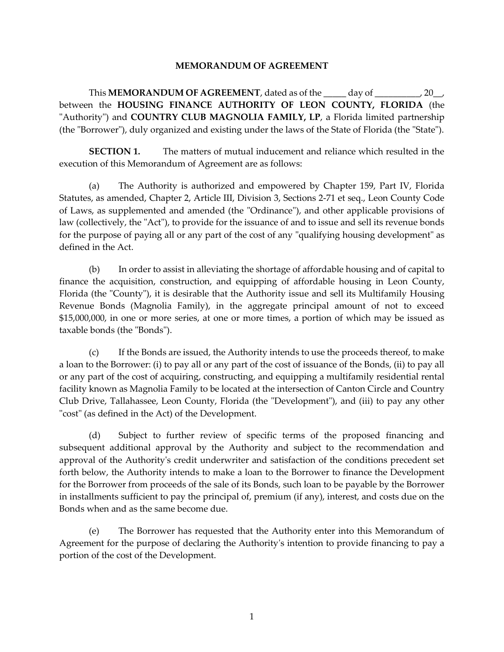## **MEMORANDUM OF AGREEMENT**

This **MEMORANDUM OF AGREEMENT**, dated as of the \_\_\_\_\_ day of \_\_\_\_\_\_\_\_\_\_, 20\_\_, between the **HOUSING FINANCE AUTHORITY OF LEON COUNTY, FLORIDA** (the "Authority") and **COUNTRY CLUB MAGNOLIA FAMILY, LP**, a Florida limited partnership (the "Borrower"), duly organized and existing under the laws of the State of Florida (the "State").

**SECTION 1.** The matters of mutual inducement and reliance which resulted in the execution of this Memorandum of Agreement are as follows:

(a) The Authority is authorized and empowered by Chapter 159, Part IV, Florida Statutes, as amended, Chapter 2, Article III, Division 3, Sections 2-71 et seq., Leon County Code of Laws, as supplemented and amended (the "Ordinance"), and other applicable provisions of law (collectively, the "Act"), to provide for the issuance of and to issue and sell its revenue bonds for the purpose of paying all or any part of the cost of any "qualifying housing development" as defined in the Act.

(b) In order to assist in alleviating the shortage of affordable housing and of capital to finance the acquisition, construction, and equipping of affordable housing in Leon County, Florida (the "County"), it is desirable that the Authority issue and sell its Multifamily Housing Revenue Bonds (Magnolia Family), in the aggregate principal amount of not to exceed \$15,000,000, in one or more series, at one or more times, a portion of which may be issued as taxable bonds (the "Bonds").

(c) If the Bonds are issued, the Authority intends to use the proceeds thereof, to make a loan to the Borrower: (i) to pay all or any part of the cost of issuance of the Bonds, (ii) to pay all or any part of the cost of acquiring, constructing, and equipping a multifamily residential rental facility known as Magnolia Family to be located at the intersection of Canton Circle and Country Club Drive, Tallahassee, Leon County, Florida (the "Development"), and (iii) to pay any other "cost" (as defined in the Act) of the Development.

(d) Subject to further review of specific terms of the proposed financing and subsequent additional approval by the Authority and subject to the recommendation and approval of the Authority's credit underwriter and satisfaction of the conditions precedent set forth below, the Authority intends to make a loan to the Borrower to finance the Development for the Borrower from proceeds of the sale of its Bonds, such loan to be payable by the Borrower in installments sufficient to pay the principal of, premium (if any), interest, and costs due on the Bonds when and as the same become due.

(e) The Borrower has requested that the Authority enter into this Memorandum of Agreement for the purpose of declaring the Authority's intention to provide financing to pay a portion of the cost of the Development.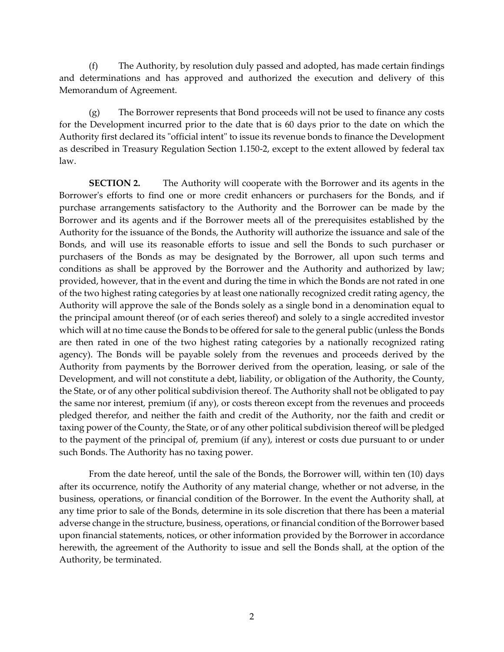(f) The Authority, by resolution duly passed and adopted, has made certain findings and determinations and has approved and authorized the execution and delivery of this Memorandum of Agreement.

(g) The Borrower represents that Bond proceeds will not be used to finance any costs for the Development incurred prior to the date that is 60 days prior to the date on which the Authority first declared its "official intent" to issue its revenue bonds to finance the Development as described in Treasury Regulation Section 1.150-2, except to the extent allowed by federal tax law.

**SECTION 2.** The Authority will cooperate with the Borrower and its agents in the Borrower's efforts to find one or more credit enhancers or purchasers for the Bonds, and if purchase arrangements satisfactory to the Authority and the Borrower can be made by the Borrower and its agents and if the Borrower meets all of the prerequisites established by the Authority for the issuance of the Bonds, the Authority will authorize the issuance and sale of the Bonds, and will use its reasonable efforts to issue and sell the Bonds to such purchaser or purchasers of the Bonds as may be designated by the Borrower, all upon such terms and conditions as shall be approved by the Borrower and the Authority and authorized by law; provided, however, that in the event and during the time in which the Bonds are not rated in one of the two highest rating categories by at least one nationally recognized credit rating agency, the Authority will approve the sale of the Bonds solely as a single bond in a denomination equal to the principal amount thereof (or of each series thereof) and solely to a single accredited investor which will at no time cause the Bonds to be offered for sale to the general public (unless the Bonds are then rated in one of the two highest rating categories by a nationally recognized rating agency). The Bonds will be payable solely from the revenues and proceeds derived by the Authority from payments by the Borrower derived from the operation, leasing, or sale of the Development, and will not constitute a debt, liability, or obligation of the Authority, the County, the State, or of any other political subdivision thereof. The Authority shall not be obligated to pay the same nor interest, premium (if any), or costs thereon except from the revenues and proceeds pledged therefor, and neither the faith and credit of the Authority, nor the faith and credit or taxing power of the County, the State, or of any other political subdivision thereof will be pledged to the payment of the principal of, premium (if any), interest or costs due pursuant to or under such Bonds. The Authority has no taxing power.

From the date hereof, until the sale of the Bonds, the Borrower will, within ten (10) days after its occurrence, notify the Authority of any material change, whether or not adverse, in the business, operations, or financial condition of the Borrower. In the event the Authority shall, at any time prior to sale of the Bonds, determine in its sole discretion that there has been a material adverse change in the structure, business, operations, or financial condition of the Borrower based upon financial statements, notices, or other information provided by the Borrower in accordance herewith, the agreement of the Authority to issue and sell the Bonds shall, at the option of the Authority, be terminated.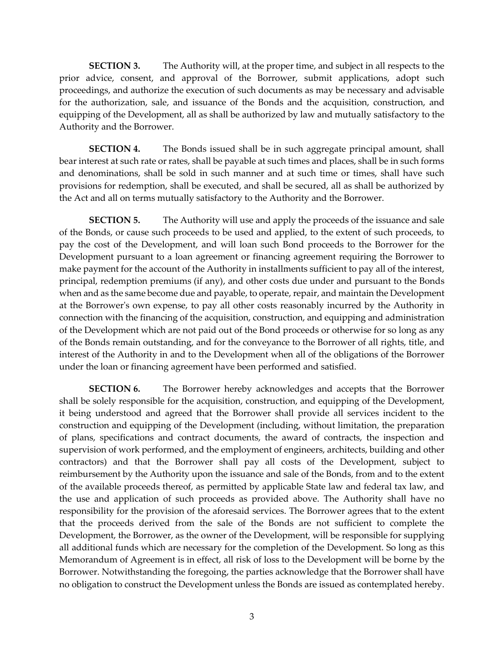**SECTION 3.** The Authority will, at the proper time, and subject in all respects to the prior advice, consent, and approval of the Borrower, submit applications, adopt such proceedings, and authorize the execution of such documents as may be necessary and advisable for the authorization, sale, and issuance of the Bonds and the acquisition, construction, and equipping of the Development, all as shall be authorized by law and mutually satisfactory to the Authority and the Borrower.

**SECTION 4.** The Bonds issued shall be in such aggregate principal amount, shall bear interest at such rate or rates, shall be payable at such times and places, shall be in such forms and denominations, shall be sold in such manner and at such time or times, shall have such provisions for redemption, shall be executed, and shall be secured, all as shall be authorized by the Act and all on terms mutually satisfactory to the Authority and the Borrower.

**SECTION 5.** The Authority will use and apply the proceeds of the issuance and sale of the Bonds, or cause such proceeds to be used and applied, to the extent of such proceeds, to pay the cost of the Development, and will loan such Bond proceeds to the Borrower for the Development pursuant to a loan agreement or financing agreement requiring the Borrower to make payment for the account of the Authority in installments sufficient to pay all of the interest, principal, redemption premiums (if any), and other costs due under and pursuant to the Bonds when and as the same become due and payable, to operate, repair, and maintain the Development at the Borrower's own expense, to pay all other costs reasonably incurred by the Authority in connection with the financing of the acquisition, construction, and equipping and administration of the Development which are not paid out of the Bond proceeds or otherwise for so long as any of the Bonds remain outstanding, and for the conveyance to the Borrower of all rights, title, and interest of the Authority in and to the Development when all of the obligations of the Borrower under the loan or financing agreement have been performed and satisfied.

**SECTION 6.** The Borrower hereby acknowledges and accepts that the Borrower shall be solely responsible for the acquisition, construction, and equipping of the Development, it being understood and agreed that the Borrower shall provide all services incident to the construction and equipping of the Development (including, without limitation, the preparation of plans, specifications and contract documents, the award of contracts, the inspection and supervision of work performed, and the employment of engineers, architects, building and other contractors) and that the Borrower shall pay all costs of the Development, subject to reimbursement by the Authority upon the issuance and sale of the Bonds, from and to the extent of the available proceeds thereof, as permitted by applicable State law and federal tax law, and the use and application of such proceeds as provided above. The Authority shall have no responsibility for the provision of the aforesaid services. The Borrower agrees that to the extent that the proceeds derived from the sale of the Bonds are not sufficient to complete the Development, the Borrower, as the owner of the Development, will be responsible for supplying all additional funds which are necessary for the completion of the Development. So long as this Memorandum of Agreement is in effect, all risk of loss to the Development will be borne by the Borrower. Notwithstanding the foregoing, the parties acknowledge that the Borrower shall have no obligation to construct the Development unless the Bonds are issued as contemplated hereby.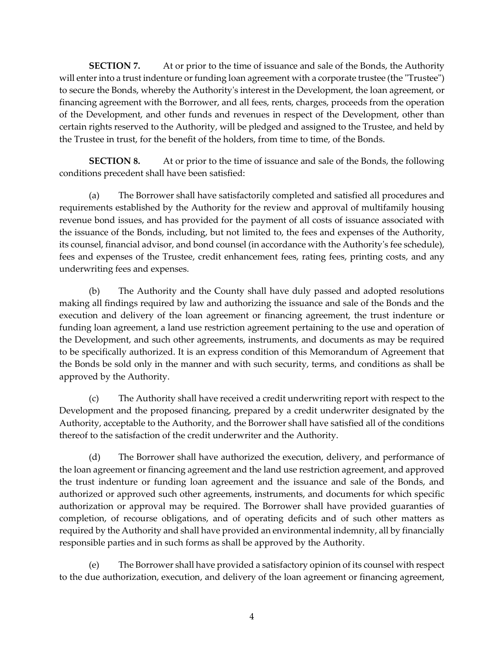**SECTION 7.** At or prior to the time of issuance and sale of the Bonds, the Authority will enter into a trust indenture or funding loan agreement with a corporate trustee (the "Trustee") to secure the Bonds, whereby the Authority's interest in the Development, the loan agreement, or financing agreement with the Borrower, and all fees, rents, charges, proceeds from the operation of the Development, and other funds and revenues in respect of the Development, other than certain rights reserved to the Authority, will be pledged and assigned to the Trustee, and held by the Trustee in trust, for the benefit of the holders, from time to time, of the Bonds.

**SECTION 8.** At or prior to the time of issuance and sale of the Bonds, the following conditions precedent shall have been satisfied:

(a) The Borrower shall have satisfactorily completed and satisfied all procedures and requirements established by the Authority for the review and approval of multifamily housing revenue bond issues, and has provided for the payment of all costs of issuance associated with the issuance of the Bonds, including, but not limited to, the fees and expenses of the Authority, its counsel, financial advisor, and bond counsel (in accordance with the Authority's fee schedule), fees and expenses of the Trustee, credit enhancement fees, rating fees, printing costs, and any underwriting fees and expenses.

(b) The Authority and the County shall have duly passed and adopted resolutions making all findings required by law and authorizing the issuance and sale of the Bonds and the execution and delivery of the loan agreement or financing agreement, the trust indenture or funding loan agreement, a land use restriction agreement pertaining to the use and operation of the Development, and such other agreements, instruments, and documents as may be required to be specifically authorized. It is an express condition of this Memorandum of Agreement that the Bonds be sold only in the manner and with such security, terms, and conditions as shall be approved by the Authority.

(c) The Authority shall have received a credit underwriting report with respect to the Development and the proposed financing, prepared by a credit underwriter designated by the Authority, acceptable to the Authority, and the Borrower shall have satisfied all of the conditions thereof to the satisfaction of the credit underwriter and the Authority.

(d) The Borrower shall have authorized the execution, delivery, and performance of the loan agreement or financing agreement and the land use restriction agreement, and approved the trust indenture or funding loan agreement and the issuance and sale of the Bonds, and authorized or approved such other agreements, instruments, and documents for which specific authorization or approval may be required. The Borrower shall have provided guaranties of completion, of recourse obligations, and of operating deficits and of such other matters as required by the Authority and shall have provided an environmental indemnity, all by financially responsible parties and in such forms as shall be approved by the Authority.

(e) The Borrower shall have provided a satisfactory opinion of its counsel with respect to the due authorization, execution, and delivery of the loan agreement or financing agreement,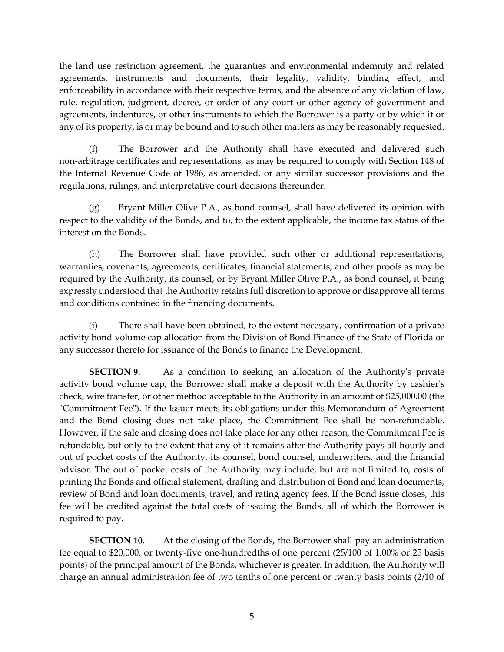the land use restriction agreement, the guaranties and environmental indemnity and related agreements, instruments and documents, their legality, validity, binding effect, and enforceability in accordance with their respective terms, and the absence of any violation of law, rule, regulation, judgment, decree, or order of any court or other agency of government and agreements, indentures, or other instruments to which the Borrower is a party or by which it or any of its property, is or may be bound and to such other matters as may be reasonably requested.

(f) The Borrower and the Authority shall have executed and delivered such non-arbitrage certificates and representations, as may be required to comply with Section 148 of the Internal Revenue Code of 1986, as amended, or any similar successor provisions and the regulations, rulings, and interpretative court decisions thereunder.

(g) Bryant Miller Olive P.A., as bond counsel, shall have delivered its opinion with respect to the validity of the Bonds, and to, to the extent applicable, the income tax status of the interest on the Bonds.

(h) The Borrower shall have provided such other or additional representations, warranties, covenants, agreements, certificates, financial statements, and other proofs as may be required by the Authority, its counsel, or by Bryant Miller Olive P.A., as bond counsel, it being expressly understood that the Authority retains full discretion to approve or disapprove all terms and conditions contained in the financing documents.

There shall have been obtained, to the extent necessary, confirmation of a private activity bond volume cap allocation from the Division of Bond Finance of the State of Florida or any successor thereto for issuance of the Bonds to finance the Development.

**SECTION 9.** As a condition to seeking an allocation of the Authority's private activity bond volume cap, the Borrower shall make a deposit with the Authority by cashier's check, wire transfer, or other method acceptable to the Authority in an amount of \$25,000.00 (the "Commitment Fee"). If the Issuer meets its obligations under this Memorandum of Agreement and the Bond closing does not take place, the Commitment Fee shall be non-refundable. However, if the sale and closing does not take place for any other reason, the Commitment Fee is refundable, but only to the extent that any of it remains after the Authority pays all hourly and out of pocket costs of the Authority, its counsel, bond counsel, underwriters, and the financial advisor. The out of pocket costs of the Authority may include, but are not limited to, costs of printing the Bonds and official statement, drafting and distribution of Bond and loan documents, review of Bond and loan documents, travel, and rating agency fees. If the Bond issue closes, this fee will be credited against the total costs of issuing the Bonds, all of which the Borrower is required to pay.

**SECTION 10.** At the closing of the Bonds, the Borrower shall pay an administration fee equal to \$20,000, or twenty-five one-hundredths of one percent (25/100 of 1.00% or 25 basis points) of the principal amount of the Bonds, whichever is greater. In addition, the Authority will charge an annual administration fee of two tenths of one percent or twenty basis points (2/10 of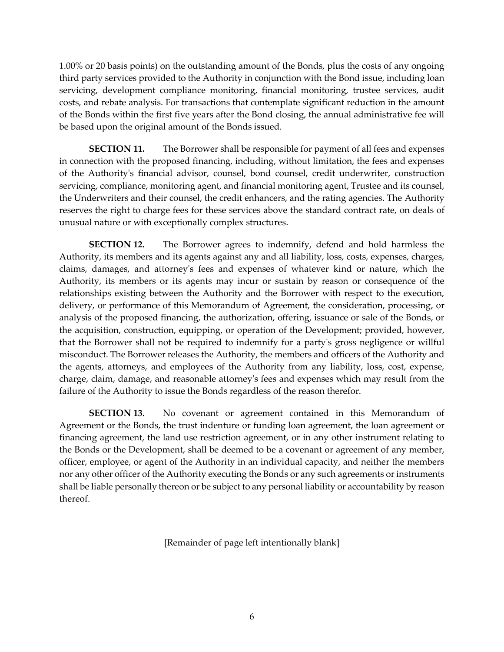1.00% or 20 basis points) on the outstanding amount of the Bonds, plus the costs of any ongoing third party services provided to the Authority in conjunction with the Bond issue, including loan servicing, development compliance monitoring, financial monitoring, trustee services, audit costs, and rebate analysis. For transactions that contemplate significant reduction in the amount of the Bonds within the first five years after the Bond closing, the annual administrative fee will be based upon the original amount of the Bonds issued.

**SECTION 11.** The Borrower shall be responsible for payment of all fees and expenses in connection with the proposed financing, including, without limitation, the fees and expenses of the Authority's financial advisor, counsel, bond counsel, credit underwriter, construction servicing, compliance, monitoring agent, and financial monitoring agent, Trustee and its counsel, the Underwriters and their counsel, the credit enhancers, and the rating agencies. The Authority reserves the right to charge fees for these services above the standard contract rate, on deals of unusual nature or with exceptionally complex structures.

**SECTION 12.** The Borrower agrees to indemnify, defend and hold harmless the Authority, its members and its agents against any and all liability, loss, costs, expenses, charges, claims, damages, and attorney's fees and expenses of whatever kind or nature, which the Authority, its members or its agents may incur or sustain by reason or consequence of the relationships existing between the Authority and the Borrower with respect to the execution, delivery, or performance of this Memorandum of Agreement, the consideration, processing, or analysis of the proposed financing, the authorization, offering, issuance or sale of the Bonds, or the acquisition, construction, equipping, or operation of the Development; provided, however, that the Borrower shall not be required to indemnify for a party's gross negligence or willful misconduct. The Borrower releases the Authority, the members and officers of the Authority and the agents, attorneys, and employees of the Authority from any liability, loss, cost, expense, charge, claim, damage, and reasonable attorney's fees and expenses which may result from the failure of the Authority to issue the Bonds regardless of the reason therefor.

**SECTION 13.** No covenant or agreement contained in this Memorandum of Agreement or the Bonds, the trust indenture or funding loan agreement, the loan agreement or financing agreement, the land use restriction agreement, or in any other instrument relating to the Bonds or the Development, shall be deemed to be a covenant or agreement of any member, officer, employee, or agent of the Authority in an individual capacity, and neither the members nor any other officer of the Authority executing the Bonds or any such agreements or instruments shall be liable personally thereon or be subject to any personal liability or accountability by reason thereof.

[Remainder of page left intentionally blank]